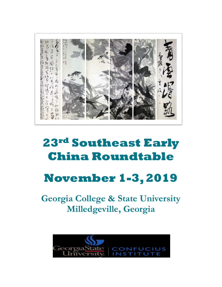

## **23rd Southeast Early China Roundtable**

# **November 1-3, 2019**

**Georgia College & State University Milledgeville, Georgia** 

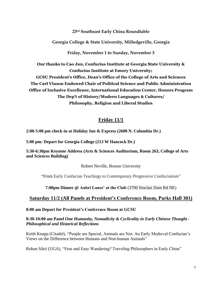## **23rd Southeast Early China Roundtable**

#### **Georgia College & State University, Milledgeville, Georgia**

**Friday, November 1 to Sunday, November 3**

**Our thanks to Cao Jun, Confucius Institute at Georgia State University & Confucius Institute at Emory University; GCSU President's Office, Dean's Office of the College of Arts and Sciences The Carl Vinson Endowed Chair of Political Science and Public Administration Office of Inclusive Excellence, International Education Center, Honors Program The Dep't of History/Modern Languages & Cultures/ Philosophy, Religion and Liberal Studies**

## **Friday 11/1**

**2:00-5:00 pm check-in at Holiday Inn & Express (2600 N. Columbia Dr.)**

**5:00 pm: Depart for Georgia College (213 W Hancock Dr.)**

**5:30-6:30pm Keynote Address (Arts & Sciences Auditorium, Room 263, College of Arts and Sciences Building)**

Robert Neville, Boston University

"From Early Confucian Teachings to Contemporary Progressive Confucianism"

**7:00pm Dinner @ Aubri Lanes' at the Club** [\(3700 Sinclair Dam Rd NE\)](https://www.evite.com/event/01CA2UD3QFC77QYIGEPJ4MU3VGUTK4/map_redirect)

## **Saturday 11/2 (All Panels at President's Conference Room, Parks Hall 301)**

**8:00 am Depart for President's Conference Room at GCSU**

**8:30-10:00 am Panel One** *Humanity, Nomadicity & Cyclicality in Early Chinese Thought - Philosophical and Historical Reflections* 

Keith Knapp (Citadel), "People are Special, Animals are Not: An Early Medieval Confucian's Views on the Difference between Humans and Non-human Animals"

Rohan Sikri (UGA), "Free and Easy Wandering? Traveling Philosophers in Early China"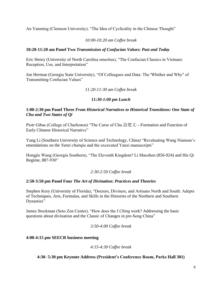An Yanming (Clemson University), "The Idea of Cyclicality in the Chinese Thought"

## *10:00-10:20 am Coffee break*

#### **10:20-11:20 am Panel Two** *Transmission of Confucian Values: Past and Today*

Eric Henry (University of North Carolina emeritus), "The Confucian Classics in Vietnam: Reception, Use, and Interpretation"

Jon Herman (Georgia State University), "Of Colleagues and Data: The 'Whither and Why" of Transmitting Confucian Values"

## *11:20-11:30 am Coffee break*

## *11:30-1:00 pm Lunch*

#### **1:00-2:30 pm Panel Three** *From Historical Narratives to Historical Transitions: One State of Chu and Two States of Qi*

Piotr Gibas (College of Charleston) "The Curse of Chu 詛楚文—Formation and Function of Early Chinese Historical Narrative"

Yang Li (Southern University of Science and Technology, China) "Revaluating Wang Niansun's emendations on the *Yanzi chunqiu* and the excavated Yanzi manuscripts"

Hongjie Wang (Georgia Southern), "The Eleventh Kingdom? Li Maozhen (856-924) and His Qi Regime, 887-930"

#### *2:30-2:50 Coffee break*

#### **2:50-3:50 pm Panel Four** *The Art of Divination: Practices and Theories*

Stephen Kory (University of Florida), "Doctors, Diviners, and Artisans North and South: Adepts of Techniques, Arts, Formulas, and Skills in the Histories of the Northern and Southern Dynasties"

James Stockman (Soto Zen Center), "How does the *I Ching* work? Addressing the basic questions about divination and the Classic of Changes in pre-Song China"

*3:50-4:00 Coffee break*

#### **4:00-4:15 pm SEECR business meeting**

#### *4:15-4:30 Coffee break*

**4:30- 5:30 pm Keynote Address (President's Conference Room, Parks Hall 301)**